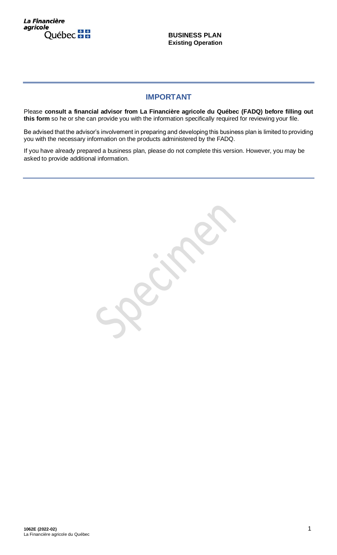La Financière agricole Québec **HH** 

**BUSINESS PLAN Existing Operation**

# **IMPORTANT**

Please **consult a financial advisor from La Financière agricole du Québec (FADQ) before filling out this form** so he or she can provide you with the information specifically required for reviewing your file.

Be advised that the advisor's involvement in preparing and developing this business plan is limited to providing you with the necessary information on the products administered by the FADQ.

If you have already prepared a business plan, please do not complete this version. However, you may be asked to provide additional information.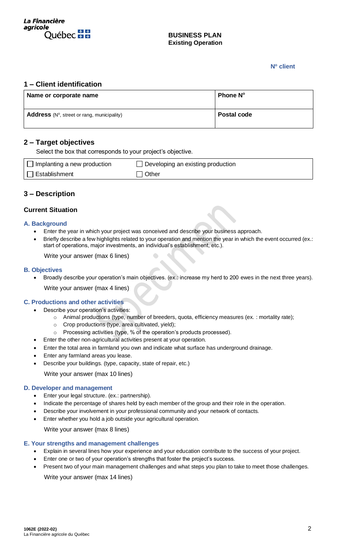

## **N o client**

## **1 – Client identification**

| Name or corporate name                                       | <b>Phone N°</b>    |
|--------------------------------------------------------------|--------------------|
| <b>Address</b> ( $N^{\circ}$ , street or rang, municipality) | <b>Postal code</b> |

# **2 – Target objectives**

Select the box that corresponds to your project's objective.

| Implanting a new production | $\Box$ Developing an existing production |
|-----------------------------|------------------------------------------|
| <b>Establishment</b>        | Other                                    |

# **3 – Description**

## **Current Situation**

## **A. Background**

• Enter the year in which your project was conceived and describe your business approach.

 $\bullet$ 

Briefly describe a few highlights related to your operation and mention the year in which the event occurred (ex.: start of operations, major investments, an individual's establishment, etc.).

Write your answer (max 6 lines)

## **B. Objectives**

• Broadly describe your operation's main objectives. (ex.: increase my herd to 200 ewes in the next three years). Write your answer (max 4 lines)

## **C. Productions and other activities**

- Describe your operation's activities:
	- o Animal productions (type, number of breeders, quota, efficiency measures (ex. : mortality rate);
	- o Crop productions (type, area cultivated, yield);
	- o Processing activities (type, % of the operation's products processed).
- Enter the other non-agricultural activities present at your operation.
- Enter the total area in farmland you own and indicate what surface has underground drainage.
- Enter any farmland areas you lease.
- Describe your buildings. (type, capacity, state of repair, etc.)

Write your answer (max 10 lines)

#### **D. Developer and management**

- Enter your legal structure. (ex.: partnership).
- Indicate the percentage of shares held by each member of the group and their role in the operation.
- Describe your involvement in your professional community and your network of contacts.
- Enter whether you hold a job outside your agricultural operation.

Write your answer (max 8 lines)

#### **E. Your strengths and management challenges**

- Explain in several lines how your experience and your education contribute to the success of your project.
- Enter one or two of your operation's strengths that foster the project's success.
- Present two of your main management challenges and what steps you plan to take to meet those challenges. Write your answer (max 14 lines)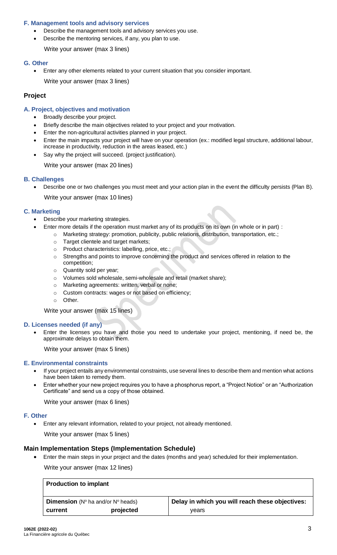## **F. Management tools and advisory services**

- Describe the management tools and advisory services you use.
- Describe the mentoring services, if any, you plan to use.

Write your answer (max 3 lines)

#### **G. Other**

• Enter any other elements related to your current situation that you consider important.

Write your answer (max 3 lines)

## **Project**

## **A. Project, objectives and motivation**

- Broadly describe your project.
- Briefly describe the main objectives related to your project and your motivation.
- Enter the non-agricultural activities planned in your project.
- Enter the main impacts your project will have on your operation (ex.: modified legal structure, additional labour, increase in productivity, reduction in the areas leased, etc.)
- Say why the project will succeed. (project justification).

Write your answer (max 20 lines)

#### **B. Challenges**

• Describe one or two challenges you must meet and your action plan in the event the difficulty persists (Plan B).

Write your answer (max 10 lines)

#### **C. Marketing**

- Describe your marketing strategies.
	- Enter more details if the operation must market any of its products on its own (in whole or in part) :
		- o Marketing strategy: promotion, publicity, public relations, distribution, transportation, etc.;
		- o Target clientele and target markets;
		- o Product characteristics: labelling, price, etc.;
		- o Strengths and points to improve concerning the product and services offered in relation to the competition;
		- o Quantity sold per year;
		- o Volumes sold wholesale, semi-wholesale and retail (market share);
		- o Marketing agreements: written, verbal or none;
		- o Custom contracts: wages or not based on efficiency;
		- o Other.

Write your answer (max 15 lines)

#### **D. Licenses needed (if any)**

• Enter the licenses you have and those you need to undertake your project, mentioning, if need be, the approximate delays to obtain them.

Write your answer (max 5 lines)

#### **E. Environmental constraints**

- If your project entails any environmental constraints, use several lines to describe them and mention what actions have been taken to remedy them.
- Enter whether your new project requires you to have a phosphorus report, a "Project Notice" or an "Authorization Certificate" and send us a copy of those obtained.

Write your answer (max 6 lines)

#### **F. Other**

• Enter any relevant information, related to your project, not already mentioned.

Write your answer (max 5 lines)

#### **Main Implementation Steps (Implementation Schedule)**

• Enter the main steps in your project and the dates (months and year) scheduled for their implementation.

Write your answer (max 12 lines)

| <b>Production to implant</b>                                |           |                                                 |
|-------------------------------------------------------------|-----------|-------------------------------------------------|
| <b>Dimension</b> ( $N^{\circ}$ ha and/or $N^{\circ}$ heads) |           | Delay in which you will reach these objectives: |
| current                                                     | projected | vears                                           |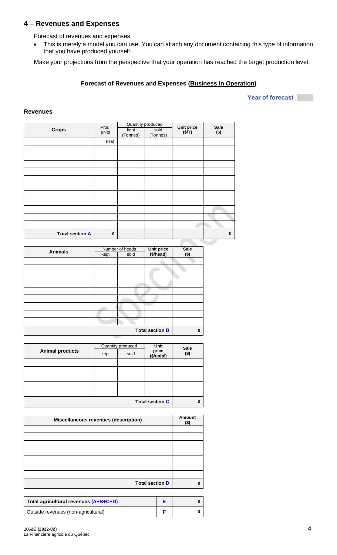# **4 – Revenues and Expenses**

Forecast of revenues and expenses

• This is merely a model you can use. You can attach any document containing this type of information that you have produced yourself.

Make your projections from the perspective that your operation has reached the target production level.

## **Forecast of Revenues and Expenses (Business in Operation)**

#### **Year of forecast**

#### **Revenues**

|                        | Prod.       |                  | Quantity produced | Unit price | Sale         |  |  |
|------------------------|-------------|------------------|-------------------|------------|--------------|--|--|
| <b>Crops</b>           | units       | kept<br>(Tonnes) | sold<br>(Tonnes)  | (S/T)      | $($ \$)      |  |  |
|                        | (Ha)        |                  |                   |            |              |  |  |
|                        |             |                  |                   |            |              |  |  |
|                        |             |                  |                   |            |              |  |  |
|                        |             |                  |                   |            |              |  |  |
|                        |             |                  |                   |            |              |  |  |
|                        |             |                  |                   |            |              |  |  |
|                        |             |                  |                   |            |              |  |  |
|                        |             |                  |                   |            |              |  |  |
|                        |             |                  |                   |            |              |  |  |
|                        |             |                  |                   |            |              |  |  |
|                        |             |                  |                   |            |              |  |  |
|                        |             |                  |                   |            |              |  |  |
| <b>Total section A</b> | $\mathbf 0$ |                  |                   |            | $\mathbf{0}$ |  |  |
|                        |             |                  |                   |            |              |  |  |

| <b>Animals</b> |      | Number of heads | Unit price<br>(\$/head) | <b>Sale</b> |
|----------------|------|-----------------|-------------------------|-------------|
|                | kept | sold            |                         | $($ \$)     |
|                |      |                 |                         |             |
|                |      |                 |                         |             |
|                |      |                 |                         |             |
|                |      |                 |                         |             |
|                |      |                 |                         |             |
|                |      |                 |                         |             |
|                |      |                 |                         |             |
|                |      |                 |                         |             |
|                |      |                 |                         |             |
|                |      |                 | <b>Total section B</b>  | $\bf{0}$    |

| <b>Animal products</b> |      | Quantity produced | Unit                   | <b>Sale</b><br>$($ \$) |
|------------------------|------|-------------------|------------------------|------------------------|
|                        | kept | sold              | price<br>(\$/unité)    |                        |
|                        |      |                   |                        |                        |
|                        |      |                   |                        |                        |
|                        |      |                   |                        |                        |
|                        |      |                   |                        |                        |
|                        |      |                   |                        |                        |
|                        |      |                   | <b>Total section C</b> | $\bf{0}$               |

| <b>Miscellaneous revenues (description)</b> | Amount<br>$($ \$) |
|---------------------------------------------|-------------------|
|                                             |                   |
|                                             |                   |
|                                             |                   |
|                                             |                   |
|                                             |                   |
|                                             |                   |
|                                             |                   |
| <b>Total section D</b>                      | n                 |

| Total agricultural revenues (A+B+C+D) |  |
|---------------------------------------|--|
| Outside revenues (non-agricultural)   |  |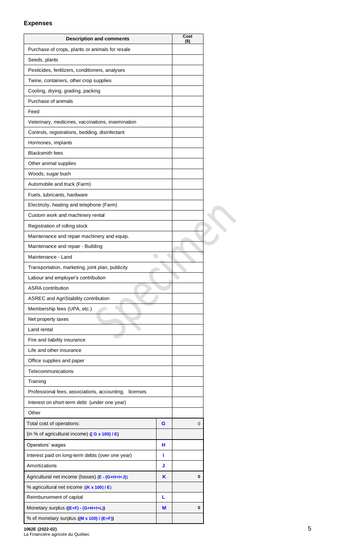## **Expenses**

| Purchase of crops, plants or animals for resale<br>Seeds, plants<br>Pesticides, fertilizers, conditioners, analyses<br>Twine, containers, other crop supplies<br>Cooling, drying, grading, packing<br>Purchase of animals<br>Feed<br>Veterinary, medicines, vaccinations, insemination<br>Controls, registrations, bedding, disinfectant<br>Hormones, implants<br><b>Blacksmith fees</b><br>Other animal supplies<br>Woods, sugar bush<br>Automobile and truck (Farm)<br>Fuels, lubricants, hardware<br>Electricity, heating and telephone (Farm)<br>Custom work and machinery rental<br>Registration of rolling stock<br>Maintenance and repair machinery and equip.<br>Maintenance and repair - Building<br>Maintenance - Land<br>Transportation, marketing, joint plan, publicity<br>Labour and employer's contribution<br><b>ASRA</b> contribution<br><b>ASREC and AgriStability contribution</b><br>Membership fees (UPA, etc.)<br>Net property taxes<br>Land rental<br>Fire and liability insurance<br>Life and other insurance<br>Office supplies and paper<br>Telecommunications<br>Training<br>Professional fees, associations, accounting,<br>licenses<br>Interest on short-term debt (under one year)<br>Other<br>Total cost of operations:<br>G<br>$\mathbf 0$<br>(in % of agricultural income) $((G \times 100) / E)$<br>Operators' wages<br>н<br>Interest paid on long-term debts (over one year)<br>п<br>Amortizations<br>J<br>Agricultural net income (losses) (E - (G+H+I+J))<br>K<br>0<br>% agricultural net income ((K x 100) / E)<br>Reimbursement of capital<br>L | <b>Description and comments</b>      |   | Cost<br>(\$) |  |
|----------------------------------------------------------------------------------------------------------------------------------------------------------------------------------------------------------------------------------------------------------------------------------------------------------------------------------------------------------------------------------------------------------------------------------------------------------------------------------------------------------------------------------------------------------------------------------------------------------------------------------------------------------------------------------------------------------------------------------------------------------------------------------------------------------------------------------------------------------------------------------------------------------------------------------------------------------------------------------------------------------------------------------------------------------------------------------------------------------------------------------------------------------------------------------------------------------------------------------------------------------------------------------------------------------------------------------------------------------------------------------------------------------------------------------------------------------------------------------------------------------------------------------------------------------------------------------------|--------------------------------------|---|--------------|--|
|                                                                                                                                                                                                                                                                                                                                                                                                                                                                                                                                                                                                                                                                                                                                                                                                                                                                                                                                                                                                                                                                                                                                                                                                                                                                                                                                                                                                                                                                                                                                                                                        |                                      |   |              |  |
|                                                                                                                                                                                                                                                                                                                                                                                                                                                                                                                                                                                                                                                                                                                                                                                                                                                                                                                                                                                                                                                                                                                                                                                                                                                                                                                                                                                                                                                                                                                                                                                        |                                      |   |              |  |
|                                                                                                                                                                                                                                                                                                                                                                                                                                                                                                                                                                                                                                                                                                                                                                                                                                                                                                                                                                                                                                                                                                                                                                                                                                                                                                                                                                                                                                                                                                                                                                                        |                                      |   |              |  |
|                                                                                                                                                                                                                                                                                                                                                                                                                                                                                                                                                                                                                                                                                                                                                                                                                                                                                                                                                                                                                                                                                                                                                                                                                                                                                                                                                                                                                                                                                                                                                                                        |                                      |   |              |  |
|                                                                                                                                                                                                                                                                                                                                                                                                                                                                                                                                                                                                                                                                                                                                                                                                                                                                                                                                                                                                                                                                                                                                                                                                                                                                                                                                                                                                                                                                                                                                                                                        |                                      |   |              |  |
|                                                                                                                                                                                                                                                                                                                                                                                                                                                                                                                                                                                                                                                                                                                                                                                                                                                                                                                                                                                                                                                                                                                                                                                                                                                                                                                                                                                                                                                                                                                                                                                        |                                      |   |              |  |
|                                                                                                                                                                                                                                                                                                                                                                                                                                                                                                                                                                                                                                                                                                                                                                                                                                                                                                                                                                                                                                                                                                                                                                                                                                                                                                                                                                                                                                                                                                                                                                                        |                                      |   |              |  |
|                                                                                                                                                                                                                                                                                                                                                                                                                                                                                                                                                                                                                                                                                                                                                                                                                                                                                                                                                                                                                                                                                                                                                                                                                                                                                                                                                                                                                                                                                                                                                                                        |                                      |   |              |  |
|                                                                                                                                                                                                                                                                                                                                                                                                                                                                                                                                                                                                                                                                                                                                                                                                                                                                                                                                                                                                                                                                                                                                                                                                                                                                                                                                                                                                                                                                                                                                                                                        |                                      |   |              |  |
|                                                                                                                                                                                                                                                                                                                                                                                                                                                                                                                                                                                                                                                                                                                                                                                                                                                                                                                                                                                                                                                                                                                                                                                                                                                                                                                                                                                                                                                                                                                                                                                        |                                      |   |              |  |
|                                                                                                                                                                                                                                                                                                                                                                                                                                                                                                                                                                                                                                                                                                                                                                                                                                                                                                                                                                                                                                                                                                                                                                                                                                                                                                                                                                                                                                                                                                                                                                                        |                                      |   |              |  |
|                                                                                                                                                                                                                                                                                                                                                                                                                                                                                                                                                                                                                                                                                                                                                                                                                                                                                                                                                                                                                                                                                                                                                                                                                                                                                                                                                                                                                                                                                                                                                                                        |                                      |   |              |  |
|                                                                                                                                                                                                                                                                                                                                                                                                                                                                                                                                                                                                                                                                                                                                                                                                                                                                                                                                                                                                                                                                                                                                                                                                                                                                                                                                                                                                                                                                                                                                                                                        |                                      |   |              |  |
|                                                                                                                                                                                                                                                                                                                                                                                                                                                                                                                                                                                                                                                                                                                                                                                                                                                                                                                                                                                                                                                                                                                                                                                                                                                                                                                                                                                                                                                                                                                                                                                        |                                      |   |              |  |
|                                                                                                                                                                                                                                                                                                                                                                                                                                                                                                                                                                                                                                                                                                                                                                                                                                                                                                                                                                                                                                                                                                                                                                                                                                                                                                                                                                                                                                                                                                                                                                                        |                                      |   |              |  |
|                                                                                                                                                                                                                                                                                                                                                                                                                                                                                                                                                                                                                                                                                                                                                                                                                                                                                                                                                                                                                                                                                                                                                                                                                                                                                                                                                                                                                                                                                                                                                                                        |                                      |   |              |  |
|                                                                                                                                                                                                                                                                                                                                                                                                                                                                                                                                                                                                                                                                                                                                                                                                                                                                                                                                                                                                                                                                                                                                                                                                                                                                                                                                                                                                                                                                                                                                                                                        |                                      |   |              |  |
|                                                                                                                                                                                                                                                                                                                                                                                                                                                                                                                                                                                                                                                                                                                                                                                                                                                                                                                                                                                                                                                                                                                                                                                                                                                                                                                                                                                                                                                                                                                                                                                        |                                      |   |              |  |
|                                                                                                                                                                                                                                                                                                                                                                                                                                                                                                                                                                                                                                                                                                                                                                                                                                                                                                                                                                                                                                                                                                                                                                                                                                                                                                                                                                                                                                                                                                                                                                                        |                                      |   |              |  |
|                                                                                                                                                                                                                                                                                                                                                                                                                                                                                                                                                                                                                                                                                                                                                                                                                                                                                                                                                                                                                                                                                                                                                                                                                                                                                                                                                                                                                                                                                                                                                                                        |                                      |   |              |  |
|                                                                                                                                                                                                                                                                                                                                                                                                                                                                                                                                                                                                                                                                                                                                                                                                                                                                                                                                                                                                                                                                                                                                                                                                                                                                                                                                                                                                                                                                                                                                                                                        |                                      |   |              |  |
|                                                                                                                                                                                                                                                                                                                                                                                                                                                                                                                                                                                                                                                                                                                                                                                                                                                                                                                                                                                                                                                                                                                                                                                                                                                                                                                                                                                                                                                                                                                                                                                        |                                      |   |              |  |
|                                                                                                                                                                                                                                                                                                                                                                                                                                                                                                                                                                                                                                                                                                                                                                                                                                                                                                                                                                                                                                                                                                                                                                                                                                                                                                                                                                                                                                                                                                                                                                                        |                                      |   |              |  |
|                                                                                                                                                                                                                                                                                                                                                                                                                                                                                                                                                                                                                                                                                                                                                                                                                                                                                                                                                                                                                                                                                                                                                                                                                                                                                                                                                                                                                                                                                                                                                                                        |                                      |   |              |  |
|                                                                                                                                                                                                                                                                                                                                                                                                                                                                                                                                                                                                                                                                                                                                                                                                                                                                                                                                                                                                                                                                                                                                                                                                                                                                                                                                                                                                                                                                                                                                                                                        |                                      |   |              |  |
|                                                                                                                                                                                                                                                                                                                                                                                                                                                                                                                                                                                                                                                                                                                                                                                                                                                                                                                                                                                                                                                                                                                                                                                                                                                                                                                                                                                                                                                                                                                                                                                        |                                      |   |              |  |
|                                                                                                                                                                                                                                                                                                                                                                                                                                                                                                                                                                                                                                                                                                                                                                                                                                                                                                                                                                                                                                                                                                                                                                                                                                                                                                                                                                                                                                                                                                                                                                                        |                                      |   |              |  |
|                                                                                                                                                                                                                                                                                                                                                                                                                                                                                                                                                                                                                                                                                                                                                                                                                                                                                                                                                                                                                                                                                                                                                                                                                                                                                                                                                                                                                                                                                                                                                                                        |                                      |   |              |  |
|                                                                                                                                                                                                                                                                                                                                                                                                                                                                                                                                                                                                                                                                                                                                                                                                                                                                                                                                                                                                                                                                                                                                                                                                                                                                                                                                                                                                                                                                                                                                                                                        |                                      |   |              |  |
|                                                                                                                                                                                                                                                                                                                                                                                                                                                                                                                                                                                                                                                                                                                                                                                                                                                                                                                                                                                                                                                                                                                                                                                                                                                                                                                                                                                                                                                                                                                                                                                        |                                      |   |              |  |
|                                                                                                                                                                                                                                                                                                                                                                                                                                                                                                                                                                                                                                                                                                                                                                                                                                                                                                                                                                                                                                                                                                                                                                                                                                                                                                                                                                                                                                                                                                                                                                                        |                                      |   |              |  |
|                                                                                                                                                                                                                                                                                                                                                                                                                                                                                                                                                                                                                                                                                                                                                                                                                                                                                                                                                                                                                                                                                                                                                                                                                                                                                                                                                                                                                                                                                                                                                                                        |                                      |   |              |  |
|                                                                                                                                                                                                                                                                                                                                                                                                                                                                                                                                                                                                                                                                                                                                                                                                                                                                                                                                                                                                                                                                                                                                                                                                                                                                                                                                                                                                                                                                                                                                                                                        |                                      |   |              |  |
|                                                                                                                                                                                                                                                                                                                                                                                                                                                                                                                                                                                                                                                                                                                                                                                                                                                                                                                                                                                                                                                                                                                                                                                                                                                                                                                                                                                                                                                                                                                                                                                        |                                      |   |              |  |
|                                                                                                                                                                                                                                                                                                                                                                                                                                                                                                                                                                                                                                                                                                                                                                                                                                                                                                                                                                                                                                                                                                                                                                                                                                                                                                                                                                                                                                                                                                                                                                                        |                                      |   |              |  |
|                                                                                                                                                                                                                                                                                                                                                                                                                                                                                                                                                                                                                                                                                                                                                                                                                                                                                                                                                                                                                                                                                                                                                                                                                                                                                                                                                                                                                                                                                                                                                                                        |                                      |   |              |  |
|                                                                                                                                                                                                                                                                                                                                                                                                                                                                                                                                                                                                                                                                                                                                                                                                                                                                                                                                                                                                                                                                                                                                                                                                                                                                                                                                                                                                                                                                                                                                                                                        |                                      |   |              |  |
|                                                                                                                                                                                                                                                                                                                                                                                                                                                                                                                                                                                                                                                                                                                                                                                                                                                                                                                                                                                                                                                                                                                                                                                                                                                                                                                                                                                                                                                                                                                                                                                        |                                      |   |              |  |
|                                                                                                                                                                                                                                                                                                                                                                                                                                                                                                                                                                                                                                                                                                                                                                                                                                                                                                                                                                                                                                                                                                                                                                                                                                                                                                                                                                                                                                                                                                                                                                                        |                                      |   |              |  |
|                                                                                                                                                                                                                                                                                                                                                                                                                                                                                                                                                                                                                                                                                                                                                                                                                                                                                                                                                                                                                                                                                                                                                                                                                                                                                                                                                                                                                                                                                                                                                                                        |                                      |   |              |  |
|                                                                                                                                                                                                                                                                                                                                                                                                                                                                                                                                                                                                                                                                                                                                                                                                                                                                                                                                                                                                                                                                                                                                                                                                                                                                                                                                                                                                                                                                                                                                                                                        |                                      |   |              |  |
|                                                                                                                                                                                                                                                                                                                                                                                                                                                                                                                                                                                                                                                                                                                                                                                                                                                                                                                                                                                                                                                                                                                                                                                                                                                                                                                                                                                                                                                                                                                                                                                        |                                      |   |              |  |
|                                                                                                                                                                                                                                                                                                                                                                                                                                                                                                                                                                                                                                                                                                                                                                                                                                                                                                                                                                                                                                                                                                                                                                                                                                                                                                                                                                                                                                                                                                                                                                                        |                                      |   |              |  |
|                                                                                                                                                                                                                                                                                                                                                                                                                                                                                                                                                                                                                                                                                                                                                                                                                                                                                                                                                                                                                                                                                                                                                                                                                                                                                                                                                                                                                                                                                                                                                                                        |                                      |   |              |  |
|                                                                                                                                                                                                                                                                                                                                                                                                                                                                                                                                                                                                                                                                                                                                                                                                                                                                                                                                                                                                                                                                                                                                                                                                                                                                                                                                                                                                                                                                                                                                                                                        | Monetary surplus ((E+F) - (G+H+I+L)) | M | 0            |  |
| % of monetary surplus ((M x 100) / (E+F))                                                                                                                                                                                                                                                                                                                                                                                                                                                                                                                                                                                                                                                                                                                                                                                                                                                                                                                                                                                                                                                                                                                                                                                                                                                                                                                                                                                                                                                                                                                                              |                                      |   |              |  |

**1062E (2022-02)** 5

La Financière agricole du Québec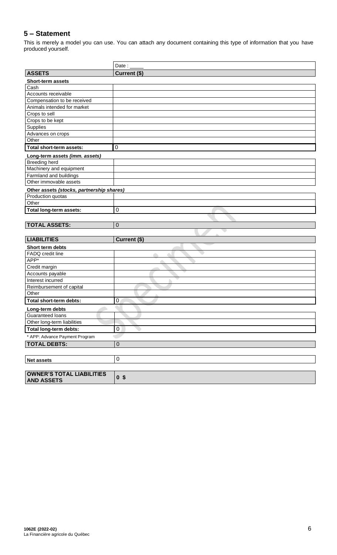# **5 – Statement**

This is merely a model you can use. You can attach any document containing this type of information that you have produced yourself.

|                                           | Date: $\frac{1}{2}$ |
|-------------------------------------------|---------------------|
| <b>ASSETS</b>                             | Current (\$)        |
| Short-term assets                         |                     |
| Cash                                      |                     |
| Accounts receivable                       |                     |
| Compensation to be received               |                     |
| Animals intended for market               |                     |
| Crops to sell                             |                     |
| Crops to be kept                          |                     |
| Supplies                                  |                     |
| Advances on crops                         |                     |
| Other                                     |                     |
| Total short-term assets:                  | $\mathbf 0$         |
| Long-term assets (imm. assets)            |                     |
| <b>Breeding herd</b>                      |                     |
| Machinery and equipment                   |                     |
| Farmland and buildings                    |                     |
| Other immovable assets                    |                     |
| Other assets (stocks, partnership shares) |                     |
| Production quotas                         |                     |
| Other                                     |                     |
| Total long-term assets:                   | 0                   |
|                                           |                     |
| <b>TOTAL ASSETS:</b>                      | $\mathbf 0$         |
|                                           |                     |
| <b>LIABILITIES</b>                        | Current (\$)        |
| Short term debts                          |                     |
| FADQ credit line                          |                     |
| APP*                                      |                     |
| Credit margin                             |                     |
| Accounts payable                          |                     |
| Interest incurred                         |                     |
| Reimbursement of capital                  |                     |
| Other                                     |                     |
| Total short-term debts:                   | 0                   |
| Long-term debts                           |                     |
| Guaranteed loans                          |                     |
| Other long-term liabilities               |                     |
| Total long-term debts:                    | $\mathbf 0$         |
| * APP: Advance Payment Program            |                     |
|                                           |                     |
| <b>TOTAL DEBTS:</b>                       | $\boldsymbol{0}$    |
|                                           |                     |
| Net assets                                | $\mathbf 0$         |
|                                           |                     |
|                                           |                     |
| <b>OWNER'S TOTAL LIABILITIES</b>          | 0 <sup>5</sup>      |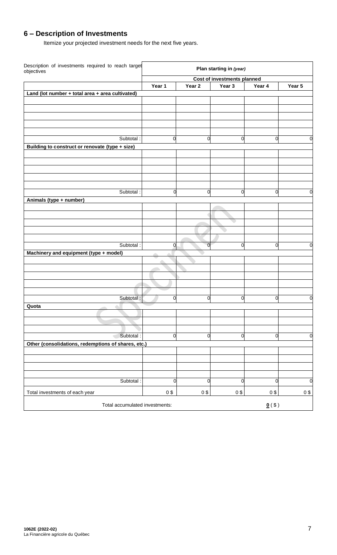# **6 – Description of Investments**

Itemize your projected investment needs for the next five years.

| Description of investments required to reach target<br>objectives |                |              | Plan starting in (year)            |                      |             |
|-------------------------------------------------------------------|----------------|--------------|------------------------------------|----------------------|-------------|
|                                                                   |                |              | <b>Cost of investments planned</b> |                      |             |
|                                                                   | Year 1         | Year 2       | Year 3                             | Year 4               | Year 5      |
| Land (lot number + total area + area cultivated)                  |                |              |                                    |                      |             |
|                                                                   |                |              |                                    |                      |             |
|                                                                   |                |              |                                    |                      |             |
|                                                                   |                |              |                                    |                      |             |
|                                                                   |                |              |                                    |                      |             |
| Subtotal:                                                         | $\mathbf 0$    | 0            | 0                                  | $\mathbf 0$          | 0           |
| Building to construct or renovate (type + size)                   |                |              |                                    |                      |             |
|                                                                   |                |              |                                    |                      |             |
|                                                                   |                |              |                                    |                      |             |
|                                                                   |                |              |                                    |                      |             |
|                                                                   |                |              |                                    |                      |             |
| Subtotal:                                                         | 0              | $\Omega$     | $\mathbf 0$                        | $\overline{0}$       |             |
| Animals (type + number)                                           |                |              |                                    |                      | 0           |
|                                                                   |                |              |                                    |                      |             |
|                                                                   |                |              |                                    |                      |             |
|                                                                   |                |              |                                    |                      |             |
|                                                                   |                |              |                                    |                      |             |
|                                                                   |                |              |                                    |                      |             |
| Subtotal:                                                         | $\overline{0}$ | <sub>0</sub> | 0                                  | $\mathbf 0$          | 0           |
| Machinery and equipment (type + model)                            | ÷              |              |                                    |                      |             |
|                                                                   |                |              |                                    |                      |             |
|                                                                   |                |              |                                    |                      |             |
|                                                                   |                |              |                                    |                      |             |
|                                                                   |                |              |                                    |                      |             |
| Subtotal:                                                         | $\mathbf 0$    | 0            | 0                                  | $\mathbf 0$          | $\mathbf 0$ |
| Quota                                                             |                |              |                                    |                      |             |
|                                                                   |                |              |                                    |                      |             |
|                                                                   |                |              |                                    |                      |             |
|                                                                   |                |              |                                    |                      |             |
| Subtotal :                                                        | $\mathbf 0$    | 0            | $\mathbf 0$                        | $\mathbf 0$          | $\mathbf 0$ |
| Other (consolidations, redemptions of shares, etc.)               |                |              |                                    |                      |             |
|                                                                   |                |              |                                    |                      |             |
|                                                                   |                |              |                                    |                      |             |
|                                                                   |                |              |                                    |                      |             |
| Subtotal:                                                         | 0              | 0            | 0                                  | $\overline{0}$       | $\mathbf 0$ |
|                                                                   |                |              |                                    |                      |             |
| Total investments of each year                                    | 0\$            | 0\$          | $0$ \$                             | 0\$                  | $0$ \$      |
| Total accumulated investments:                                    |                |              |                                    | $\underline{0}$ (\$) |             |